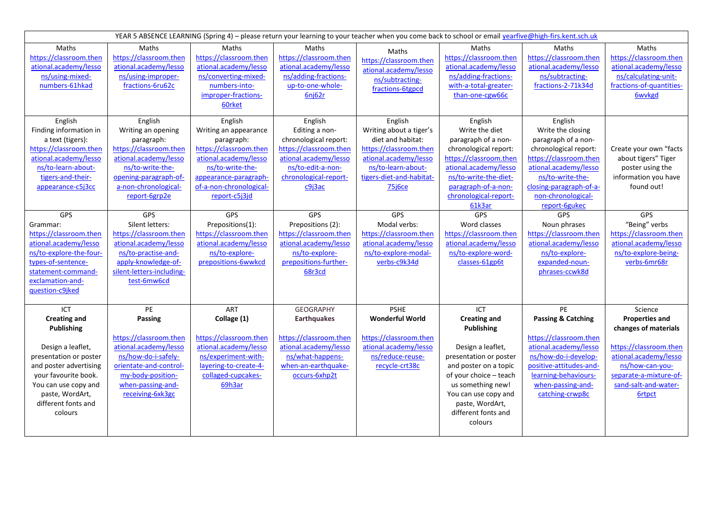| YEAR 5 ABSENCE LEARNING (Spring 4) - please return your learning to your teacher when you come back to school or email yearfive@high-firs.kent.sch.uk                                                                  |                                                                                                                                                                                      |                                                                                                                                                                                            |                                                                                                                                                               |                                                                                                                                                                        |                                                                                                                                                                                                                                              |                                                                                                                                                                                                                       |                                                                                                                                                                                                   |  |  |  |
|------------------------------------------------------------------------------------------------------------------------------------------------------------------------------------------------------------------------|--------------------------------------------------------------------------------------------------------------------------------------------------------------------------------------|--------------------------------------------------------------------------------------------------------------------------------------------------------------------------------------------|---------------------------------------------------------------------------------------------------------------------------------------------------------------|------------------------------------------------------------------------------------------------------------------------------------------------------------------------|----------------------------------------------------------------------------------------------------------------------------------------------------------------------------------------------------------------------------------------------|-----------------------------------------------------------------------------------------------------------------------------------------------------------------------------------------------------------------------|---------------------------------------------------------------------------------------------------------------------------------------------------------------------------------------------------|--|--|--|
| Maths<br>https://classroom.then<br>ational.academy/lesso<br>ns/using-mixed-<br>numbers-61hkad                                                                                                                          | Maths<br>https://classroom.then<br>ational.academy/lesso<br>ns/using-improper-<br>fractions-6ru62c                                                                                   | Maths<br>https://classroom.then<br>ational.academy/lesso<br>ns/converting-mixed-<br>numbers-into-<br>improper-fractions-<br>60rket                                                         | Maths<br>https://classroom.then<br>ational.academy/lesso<br>ns/adding-fractions-<br>up-to-one-whole-<br>6nj62r                                                | Maths<br>https://classroom.then<br>ational.academy/lesso<br>ns/subtracting-<br>fractions-6tgpcd                                                                        | Maths<br>https://classroom.then<br>ational.academy/lesso<br>ns/adding-fractions-<br>with-a-total-greater-<br>than-one-cgw66c                                                                                                                 | Maths<br>https://classroom.then<br>ational.academy/lesso<br>ns/subtracting-<br>fractions-2-71k34d                                                                                                                     | Maths<br>https://classroom.then<br>ational.academy/lesso<br>ns/calculating-unit-<br>fractions-of-quantities-<br><b>6wvkgd</b>                                                                     |  |  |  |
| English<br>Finding information in<br>a text (tigers):<br>https://classroom.then<br>ational.academy/lesso<br>ns/to-learn-about-<br>tigers-and-their-<br>appearance-c5j3cc                                               | English<br>Writing an opening<br>paragraph:<br>https://classroom.then<br>ational.academy/lesso<br>ns/to-write-the-<br>opening-paragraph-of-<br>a-non-chronological-<br>report-6grp2e | English<br>Writing an appearance<br>paragraph:<br>https://classroom.then<br>ational.academy/lesso<br>ns/to-write-the-<br>appearance-paragraph-<br>of-a-non-chronological-<br>report-c5j3jd | English<br>Editing a non-<br>chronological report:<br>https://classroom.then<br>ational.academy/lesso<br>ns/to-edit-a-non-<br>chronological-report-<br>c9i3ac | English<br>Writing about a tiger's<br>diet and habitat:<br>https://classroom.then<br>ational.academy/lesso<br>ns/to-learn-about-<br>tigers-diet-and-habitat-<br>75j6ce | English<br>Write the diet<br>paragraph of a non-<br>chronological report:<br>https://classroom.then<br>ational.academy/lesso<br>ns/to-write-the-diet-<br>paragraph-of-a-non-<br>chronological-report-<br>61k3ar                              | English<br>Write the closing<br>paragraph of a non-<br>chronological report:<br>https://classroom.then<br>ational.academy/lesso<br>ns/to-write-the-<br>closing-paragraph-of-a-<br>non-chronological-<br>report-6gukec | Create your own "facts<br>about tigers" Tiger<br>poster using the<br>information you have<br>found out!                                                                                           |  |  |  |
| GPS<br>Grammar:<br>https://classroom.then<br>ational.academy/lesso<br>ns/to-explore-the-four-<br>types-of-sentence-<br>statement-command-<br>exclamation-and-<br>question-c9jked                                       | GPS<br>Silent letters:<br>https://classroom.then<br>ational.academy/lesso<br>ns/to-practise-and-<br>apply-knowledge-of-<br>silent-letters-including-<br>test-6mw6cd                  | <b>GPS</b><br>Prepositions(1):<br>https://classroom.then<br>ational.academy/lesso<br>ns/to-explore-<br>prepositions-6wwkcd                                                                 | GPS<br>Prepositions (2):<br>https://classroom.then<br>ational.academy/lesso<br>ns/to-explore-<br>prepositions-further-<br>68r3cd                              | GPS<br>Modal verbs:<br>https://classroom.then<br>ational.academy/lesso<br>ns/to-explore-modal-<br>verbs-c9k34d                                                         | <b>GPS</b><br>Word classes<br>https://classroom.then<br>ational.academy/lesso<br>ns/to-explore-word-<br>classes-61gp6t                                                                                                                       | <b>GPS</b><br>Noun phrases<br>https://classroom.then<br>ational.academy/lesso<br>ns/to-explore-<br>expanded-noun-<br>phrases-ccwk8d                                                                                   | <b>GPS</b><br>"Being" verbs<br>https://classroom.then<br>ational.academy/lesso<br>ns/to-explore-being-<br>verbs-6mr68r                                                                            |  |  |  |
| ICT<br><b>Creating and</b><br>Publishing<br>Design a leaflet,<br>presentation or poster<br>and poster advertising<br>your favourite book.<br>You can use copy and<br>paste, WordArt,<br>different fonts and<br>colours | PE<br>Passing<br>https://classroom.then<br>ational.academy/lesso<br>ns/how-do-i-safely-<br>orientate-and-control-<br>my-body-position-<br>when-passing-and-<br>receiving-6xk3gc      | ART<br>Collage (1)<br>https://classroom.then<br>ational.academy/lesso<br>ns/experiment-with-<br>layering-to-create-4-<br>collaged-cupcakes-<br>69h3ar                                      | <b>GEOGRAPHY</b><br><b>Earthquakes</b><br>https://classroom.then<br>ational.academy/lesso<br>ns/what-happens-<br>when-an-earthquake-<br>occurs-6xhp2t         | <b>PSHE</b><br><b>Wonderful World</b><br>https://classroom.then<br>ational.academy/lesso<br>ns/reduce-reuse-<br>recycle-crt38c                                         | ICT<br><b>Creating and</b><br>Publishing<br>Design a leaflet,<br>presentation or poster<br>and poster on a topic<br>of your choice - teach<br>us something new!<br>You can use copy and<br>paste, WordArt,<br>different fonts and<br>colours | PE<br><b>Passing &amp; Catching</b><br>https://classroom.then<br>ational.academy/lesso<br>ns/how-do-i-develop-<br>positive-attitudes-and-<br>learning-behaviours-<br>when-passing-and-<br>catching-crwp8c             | Science<br><b>Properties and</b><br>changes of materials<br>https://classroom.then<br>ational.academy/lesso<br>ns/how-can-you-<br>separate-a-mixture-of-<br>sand-salt-and-water-<br><b>6rtpct</b> |  |  |  |